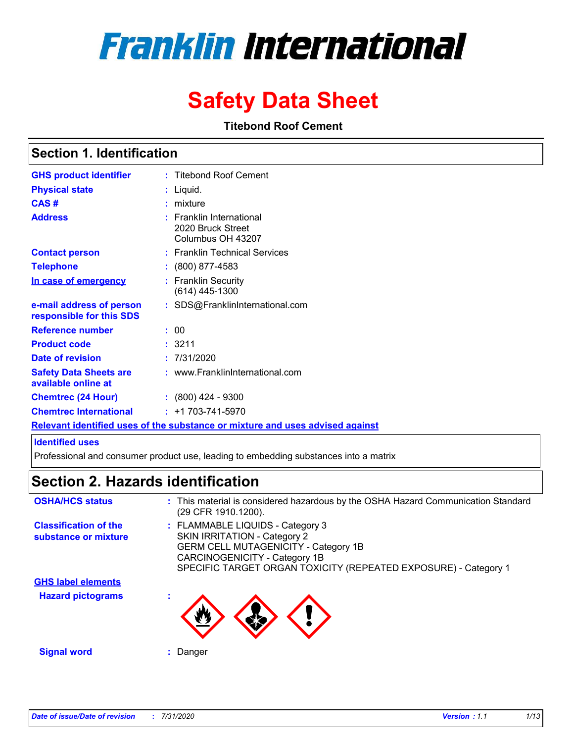# **Franklin International**

# **Safety Data Sheet**

**Titebond Roof Cement**

### **Section 1. Identification**

| <b>GHS product identifier</b>                                                 |  | : Titebond Roof Cement                                             |  |  |
|-------------------------------------------------------------------------------|--|--------------------------------------------------------------------|--|--|
| <b>Physical state</b>                                                         |  | : Liquid.                                                          |  |  |
| CAS#                                                                          |  | : mixture                                                          |  |  |
| <b>Address</b>                                                                |  | : Franklin International<br>2020 Bruck Street<br>Columbus OH 43207 |  |  |
| <b>Contact person</b>                                                         |  | : Franklin Technical Services                                      |  |  |
| <b>Telephone</b>                                                              |  | $: (800) 877 - 4583$                                               |  |  |
| In case of emergency                                                          |  | : Franklin Security<br>$(614)$ 445-1300                            |  |  |
| e-mail address of person<br>responsible for this SDS                          |  | : SDS@FranklinInternational.com                                    |  |  |
| <b>Reference number</b>                                                       |  | : 00                                                               |  |  |
| <b>Product code</b>                                                           |  | : 3211                                                             |  |  |
| Date of revision                                                              |  | : 7/31/2020                                                        |  |  |
| <b>Safety Data Sheets are</b><br>available online at                          |  | : www.FranklinInternational.com                                    |  |  |
| <b>Chemtrec (24 Hour)</b>                                                     |  | $: (800)$ 424 - 9300                                               |  |  |
| <b>Chemtrec International</b>                                                 |  | $: +1703 - 741 - 5970$                                             |  |  |
| Relevant identified uses of the substance or mixture and uses advised against |  |                                                                    |  |  |

#### **Identified uses**

Professional and consumer product use, leading to embedding substances into a matrix

# **Section 2. Hazards identification**

| <b>OSHA/HCS status</b>                               | : This material is considered hazardous by the OSHA Hazard Communication Standard<br>(29 CFR 1910.1200).                                                                                                            |
|------------------------------------------------------|---------------------------------------------------------------------------------------------------------------------------------------------------------------------------------------------------------------------|
| <b>Classification of the</b><br>substance or mixture | : FLAMMABLE LIQUIDS - Category 3<br>SKIN IRRITATION - Category 2<br><b>GERM CELL MUTAGENICITY - Category 1B</b><br>CARCINOGENICITY - Category 1B<br>SPECIFIC TARGET ORGAN TOXICITY (REPEATED EXPOSURE) - Category 1 |
| <b>GHS label elements</b>                            |                                                                                                                                                                                                                     |
| <b>Hazard pictograms</b>                             |                                                                                                                                                                                                                     |
| <b>Signal word</b>                                   | Danger                                                                                                                                                                                                              |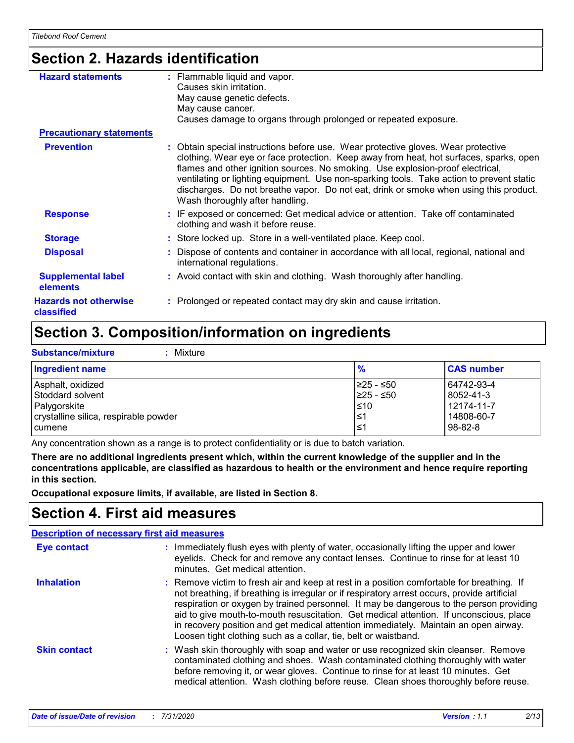# **Section 2. Hazards identification**

| <b>Hazard statements</b>                   | : Flammable liquid and vapor.<br>Causes skin irritation.<br>May cause genetic defects.<br>May cause cancer.<br>Causes damage to organs through prolonged or repeated exposure.                                                                                                                                                                                                                                                                                                        |
|--------------------------------------------|---------------------------------------------------------------------------------------------------------------------------------------------------------------------------------------------------------------------------------------------------------------------------------------------------------------------------------------------------------------------------------------------------------------------------------------------------------------------------------------|
| <b>Precautionary statements</b>            |                                                                                                                                                                                                                                                                                                                                                                                                                                                                                       |
| <b>Prevention</b>                          | : Obtain special instructions before use. Wear protective gloves. Wear protective<br>clothing. Wear eye or face protection. Keep away from heat, hot surfaces, sparks, open<br>flames and other ignition sources. No smoking. Use explosion-proof electrical,<br>ventilating or lighting equipment. Use non-sparking tools. Take action to prevent static<br>discharges. Do not breathe vapor. Do not eat, drink or smoke when using this product.<br>Wash thoroughly after handling. |
| <b>Response</b>                            | : IF exposed or concerned: Get medical advice or attention. Take off contaminated<br>clothing and wash it before reuse.                                                                                                                                                                                                                                                                                                                                                               |
| <b>Storage</b>                             | : Store locked up. Store in a well-ventilated place. Keep cool.                                                                                                                                                                                                                                                                                                                                                                                                                       |
| <b>Disposal</b>                            | : Dispose of contents and container in accordance with all local, regional, national and<br>international regulations.                                                                                                                                                                                                                                                                                                                                                                |
| <b>Supplemental label</b><br>elements      | : Avoid contact with skin and clothing. Wash thoroughly after handling.                                                                                                                                                                                                                                                                                                                                                                                                               |
| <b>Hazards not otherwise</b><br>classified | : Prolonged or repeated contact may dry skin and cause irritation.                                                                                                                                                                                                                                                                                                                                                                                                                    |

# **Section 3. Composition/information on ingredients**

**Substance/mixture :** Mixture

| <b>Ingredient name</b>                | $\frac{9}{6}$ | <b>CAS number</b> |
|---------------------------------------|---------------|-------------------|
| Asphalt, oxidized                     | I≥25 - ≤50    | 64742-93-4        |
| l Stoddard solvent                    | I≥25 - ≤50    | 8052-41-3         |
| Palygorskite                          | $\leq 10$     | 12174-11-7        |
| crystalline silica, respirable powder | 1≤1           | 14808-60-7        |
| cumene                                | l≤1           | $98 - 82 - 8$     |

Any concentration shown as a range is to protect confidentiality or is due to batch variation.

**There are no additional ingredients present which, within the current knowledge of the supplier and in the concentrations applicable, are classified as hazardous to health or the environment and hence require reporting in this section.**

**Occupational exposure limits, if available, are listed in Section 8.**

### **Section 4. First aid measures**

|                     | <b>Description of necessary first aid measures</b>                                                                                                                                                                                                                                                                                                                                                                                                                                                                                        |
|---------------------|-------------------------------------------------------------------------------------------------------------------------------------------------------------------------------------------------------------------------------------------------------------------------------------------------------------------------------------------------------------------------------------------------------------------------------------------------------------------------------------------------------------------------------------------|
| <b>Eye contact</b>  | : Immediately flush eyes with plenty of water, occasionally lifting the upper and lower<br>eyelids. Check for and remove any contact lenses. Continue to rinse for at least 10<br>minutes. Get medical attention.                                                                                                                                                                                                                                                                                                                         |
| <b>Inhalation</b>   | : Remove victim to fresh air and keep at rest in a position comfortable for breathing. If<br>not breathing, if breathing is irregular or if respiratory arrest occurs, provide artificial<br>respiration or oxygen by trained personnel. It may be dangerous to the person providing<br>aid to give mouth-to-mouth resuscitation. Get medical attention. If unconscious, place<br>in recovery position and get medical attention immediately. Maintain an open airway.<br>Loosen tight clothing such as a collar, tie, belt or waistband. |
| <b>Skin contact</b> | : Wash skin thoroughly with soap and water or use recognized skin cleanser. Remove<br>contaminated clothing and shoes. Wash contaminated clothing thoroughly with water<br>before removing it, or wear gloves. Continue to rinse for at least 10 minutes. Get<br>medical attention. Wash clothing before reuse. Clean shoes thoroughly before reuse.                                                                                                                                                                                      |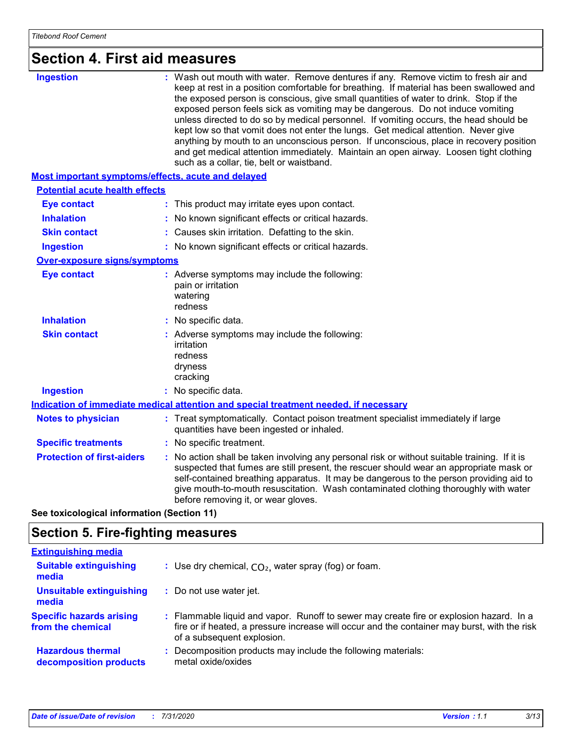# **Section 4. First aid measures**

| <b>Ingestion</b><br>such as a collar, tie, belt or waistband.<br><b>Most important symptoms/effects, acute and delayed</b><br><b>Potential acute health effects</b><br><b>Eye contact</b><br>: This product may irritate eyes upon contact.<br><b>Inhalation</b><br>No known significant effects or critical hazards.<br>Causes skin irritation. Defatting to the skin.<br><b>Skin contact</b><br>: No known significant effects or critical hazards.<br><b>Ingestion</b><br><b>Over-exposure signs/symptoms</b><br><b>Eye contact</b><br>: Adverse symptoms may include the following:<br>pain or irritation<br>watering<br>redness<br><b>Inhalation</b><br>: No specific data.<br><b>Skin contact</b><br>: Adverse symptoms may include the following:<br>irritation<br>redness<br>dryness<br>cracking<br><b>Ingestion</b><br>: No specific data.<br>Indication of immediate medical attention and special treatment needed, if necessary<br><b>Notes to physician</b><br>quantities have been ingested or inhaled.<br><b>Specific treatments</b><br>: No specific treatment.<br><b>Protection of first-aiders</b> |                                                                                                                                                                                                                                                                                                                                                                                                                                                                                                                                                                                                                                                                                                                              |  |
|----------------------------------------------------------------------------------------------------------------------------------------------------------------------------------------------------------------------------------------------------------------------------------------------------------------------------------------------------------------------------------------------------------------------------------------------------------------------------------------------------------------------------------------------------------------------------------------------------------------------------------------------------------------------------------------------------------------------------------------------------------------------------------------------------------------------------------------------------------------------------------------------------------------------------------------------------------------------------------------------------------------------------------------------------------------------------------------------------------------------|------------------------------------------------------------------------------------------------------------------------------------------------------------------------------------------------------------------------------------------------------------------------------------------------------------------------------------------------------------------------------------------------------------------------------------------------------------------------------------------------------------------------------------------------------------------------------------------------------------------------------------------------------------------------------------------------------------------------------|--|
|                                                                                                                                                                                                                                                                                                                                                                                                                                                                                                                                                                                                                                                                                                                                                                                                                                                                                                                                                                                                                                                                                                                      | : Wash out mouth with water. Remove dentures if any. Remove victim to fresh air and<br>keep at rest in a position comfortable for breathing. If material has been swallowed and<br>the exposed person is conscious, give small quantities of water to drink. Stop if the<br>exposed person feels sick as vomiting may be dangerous. Do not induce vomiting<br>unless directed to do so by medical personnel. If vomiting occurs, the head should be<br>kept low so that vomit does not enter the lungs. Get medical attention. Never give<br>anything by mouth to an unconscious person. If unconscious, place in recovery position<br>and get medical attention immediately. Maintain an open airway. Loosen tight clothing |  |
|                                                                                                                                                                                                                                                                                                                                                                                                                                                                                                                                                                                                                                                                                                                                                                                                                                                                                                                                                                                                                                                                                                                      |                                                                                                                                                                                                                                                                                                                                                                                                                                                                                                                                                                                                                                                                                                                              |  |
|                                                                                                                                                                                                                                                                                                                                                                                                                                                                                                                                                                                                                                                                                                                                                                                                                                                                                                                                                                                                                                                                                                                      |                                                                                                                                                                                                                                                                                                                                                                                                                                                                                                                                                                                                                                                                                                                              |  |
|                                                                                                                                                                                                                                                                                                                                                                                                                                                                                                                                                                                                                                                                                                                                                                                                                                                                                                                                                                                                                                                                                                                      |                                                                                                                                                                                                                                                                                                                                                                                                                                                                                                                                                                                                                                                                                                                              |  |
|                                                                                                                                                                                                                                                                                                                                                                                                                                                                                                                                                                                                                                                                                                                                                                                                                                                                                                                                                                                                                                                                                                                      |                                                                                                                                                                                                                                                                                                                                                                                                                                                                                                                                                                                                                                                                                                                              |  |
|                                                                                                                                                                                                                                                                                                                                                                                                                                                                                                                                                                                                                                                                                                                                                                                                                                                                                                                                                                                                                                                                                                                      |                                                                                                                                                                                                                                                                                                                                                                                                                                                                                                                                                                                                                                                                                                                              |  |
|                                                                                                                                                                                                                                                                                                                                                                                                                                                                                                                                                                                                                                                                                                                                                                                                                                                                                                                                                                                                                                                                                                                      |                                                                                                                                                                                                                                                                                                                                                                                                                                                                                                                                                                                                                                                                                                                              |  |
|                                                                                                                                                                                                                                                                                                                                                                                                                                                                                                                                                                                                                                                                                                                                                                                                                                                                                                                                                                                                                                                                                                                      |                                                                                                                                                                                                                                                                                                                                                                                                                                                                                                                                                                                                                                                                                                                              |  |
|                                                                                                                                                                                                                                                                                                                                                                                                                                                                                                                                                                                                                                                                                                                                                                                                                                                                                                                                                                                                                                                                                                                      |                                                                                                                                                                                                                                                                                                                                                                                                                                                                                                                                                                                                                                                                                                                              |  |
|                                                                                                                                                                                                                                                                                                                                                                                                                                                                                                                                                                                                                                                                                                                                                                                                                                                                                                                                                                                                                                                                                                                      |                                                                                                                                                                                                                                                                                                                                                                                                                                                                                                                                                                                                                                                                                                                              |  |
|                                                                                                                                                                                                                                                                                                                                                                                                                                                                                                                                                                                                                                                                                                                                                                                                                                                                                                                                                                                                                                                                                                                      |                                                                                                                                                                                                                                                                                                                                                                                                                                                                                                                                                                                                                                                                                                                              |  |
|                                                                                                                                                                                                                                                                                                                                                                                                                                                                                                                                                                                                                                                                                                                                                                                                                                                                                                                                                                                                                                                                                                                      |                                                                                                                                                                                                                                                                                                                                                                                                                                                                                                                                                                                                                                                                                                                              |  |
|                                                                                                                                                                                                                                                                                                                                                                                                                                                                                                                                                                                                                                                                                                                                                                                                                                                                                                                                                                                                                                                                                                                      |                                                                                                                                                                                                                                                                                                                                                                                                                                                                                                                                                                                                                                                                                                                              |  |
|                                                                                                                                                                                                                                                                                                                                                                                                                                                                                                                                                                                                                                                                                                                                                                                                                                                                                                                                                                                                                                                                                                                      | : Treat symptomatically. Contact poison treatment specialist immediately if large                                                                                                                                                                                                                                                                                                                                                                                                                                                                                                                                                                                                                                            |  |
|                                                                                                                                                                                                                                                                                                                                                                                                                                                                                                                                                                                                                                                                                                                                                                                                                                                                                                                                                                                                                                                                                                                      |                                                                                                                                                                                                                                                                                                                                                                                                                                                                                                                                                                                                                                                                                                                              |  |
| before removing it, or wear gloves.                                                                                                                                                                                                                                                                                                                                                                                                                                                                                                                                                                                                                                                                                                                                                                                                                                                                                                                                                                                                                                                                                  | : No action shall be taken involving any personal risk or without suitable training. If it is<br>suspected that fumes are still present, the rescuer should wear an appropriate mask or<br>self-contained breathing apparatus. It may be dangerous to the person providing aid to<br>give mouth-to-mouth resuscitation. Wash contaminated clothing thoroughly with water                                                                                                                                                                                                                                                                                                                                                     |  |

**See toxicological information (Section 11)**

# **Section 5. Fire-fighting measures**

| <b>Extinguishing media</b>                           |                                                                                                                                                                                                                       |
|------------------------------------------------------|-----------------------------------------------------------------------------------------------------------------------------------------------------------------------------------------------------------------------|
| <b>Suitable extinguishing</b><br>media               | : Use dry chemical, $CO2$ , water spray (fog) or foam.                                                                                                                                                                |
| <b>Unsuitable extinguishing</b><br>media             | : Do not use water jet.                                                                                                                                                                                               |
| <b>Specific hazards arising</b><br>from the chemical | : Flammable liquid and vapor. Runoff to sewer may create fire or explosion hazard. In a<br>fire or if heated, a pressure increase will occur and the container may burst, with the risk<br>of a subsequent explosion. |
| <b>Hazardous thermal</b><br>decomposition products   | Decomposition products may include the following materials:<br>÷.<br>metal oxide/oxides                                                                                                                               |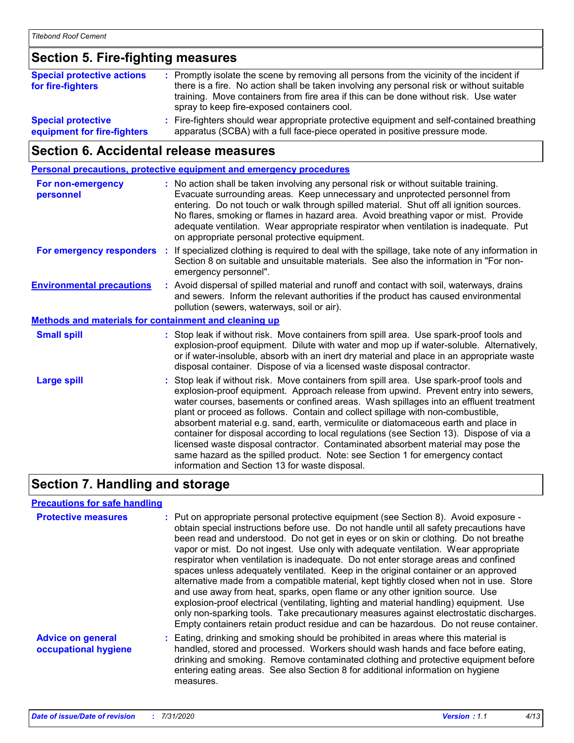# **Section 5. Fire-fighting measures**

| <b>Special protective actions</b><br>for fire-fighters   | : Promptly isolate the scene by removing all persons from the vicinity of the incident if<br>there is a fire. No action shall be taken involving any personal risk or without suitable<br>training. Move containers from fire area if this can be done without risk. Use water<br>spray to keep fire-exposed containers cool. |
|----------------------------------------------------------|-------------------------------------------------------------------------------------------------------------------------------------------------------------------------------------------------------------------------------------------------------------------------------------------------------------------------------|
| <b>Special protective</b><br>equipment for fire-fighters | : Fire-fighters should wear appropriate protective equipment and self-contained breathing<br>apparatus (SCBA) with a full face-piece operated in positive pressure mode.                                                                                                                                                      |

# **Section 6. Accidental release measures**

|                                                              | Personal precautions, protective equipment and emergency procedures                                                                                                                                                                                                                                                                                                                                                                                                                                                                                                                                                                                                                                                                                                  |  |
|--------------------------------------------------------------|----------------------------------------------------------------------------------------------------------------------------------------------------------------------------------------------------------------------------------------------------------------------------------------------------------------------------------------------------------------------------------------------------------------------------------------------------------------------------------------------------------------------------------------------------------------------------------------------------------------------------------------------------------------------------------------------------------------------------------------------------------------------|--|
| For non-emergency<br>personnel                               | : No action shall be taken involving any personal risk or without suitable training.<br>Evacuate surrounding areas. Keep unnecessary and unprotected personnel from<br>entering. Do not touch or walk through spilled material. Shut off all ignition sources.<br>No flares, smoking or flames in hazard area. Avoid breathing vapor or mist. Provide<br>adequate ventilation. Wear appropriate respirator when ventilation is inadequate. Put<br>on appropriate personal protective equipment.                                                                                                                                                                                                                                                                      |  |
|                                                              | For emergency responders : If specialized clothing is required to deal with the spillage, take note of any information in<br>Section 8 on suitable and unsuitable materials. See also the information in "For non-<br>emergency personnel".                                                                                                                                                                                                                                                                                                                                                                                                                                                                                                                          |  |
| <b>Environmental precautions</b>                             | : Avoid dispersal of spilled material and runoff and contact with soil, waterways, drains<br>and sewers. Inform the relevant authorities if the product has caused environmental<br>pollution (sewers, waterways, soil or air).                                                                                                                                                                                                                                                                                                                                                                                                                                                                                                                                      |  |
| <b>Methods and materials for containment and cleaning up</b> |                                                                                                                                                                                                                                                                                                                                                                                                                                                                                                                                                                                                                                                                                                                                                                      |  |
| <b>Small spill</b>                                           | : Stop leak if without risk. Move containers from spill area. Use spark-proof tools and<br>explosion-proof equipment. Dilute with water and mop up if water-soluble. Alternatively,<br>or if water-insoluble, absorb with an inert dry material and place in an appropriate waste<br>disposal container. Dispose of via a licensed waste disposal contractor.                                                                                                                                                                                                                                                                                                                                                                                                        |  |
| <b>Large spill</b>                                           | : Stop leak if without risk. Move containers from spill area. Use spark-proof tools and<br>explosion-proof equipment. Approach release from upwind. Prevent entry into sewers,<br>water courses, basements or confined areas. Wash spillages into an effluent treatment<br>plant or proceed as follows. Contain and collect spillage with non-combustible,<br>absorbent material e.g. sand, earth, vermiculite or diatomaceous earth and place in<br>container for disposal according to local regulations (see Section 13). Dispose of via a<br>licensed waste disposal contractor. Contaminated absorbent material may pose the<br>same hazard as the spilled product. Note: see Section 1 for emergency contact<br>information and Section 13 for waste disposal. |  |

# **Section 7. Handling and storage**

#### **Precautions for safe handling**

| <b>Protective measures</b>                       | : Put on appropriate personal protective equipment (see Section 8). Avoid exposure -<br>obtain special instructions before use. Do not handle until all safety precautions have<br>been read and understood. Do not get in eyes or on skin or clothing. Do not breathe<br>vapor or mist. Do not ingest. Use only with adequate ventilation. Wear appropriate<br>respirator when ventilation is inadequate. Do not enter storage areas and confined<br>spaces unless adequately ventilated. Keep in the original container or an approved<br>alternative made from a compatible material, kept tightly closed when not in use. Store<br>and use away from heat, sparks, open flame or any other ignition source. Use<br>explosion-proof electrical (ventilating, lighting and material handling) equipment. Use<br>only non-sparking tools. Take precautionary measures against electrostatic discharges.<br>Empty containers retain product residue and can be hazardous. Do not reuse container. |
|--------------------------------------------------|---------------------------------------------------------------------------------------------------------------------------------------------------------------------------------------------------------------------------------------------------------------------------------------------------------------------------------------------------------------------------------------------------------------------------------------------------------------------------------------------------------------------------------------------------------------------------------------------------------------------------------------------------------------------------------------------------------------------------------------------------------------------------------------------------------------------------------------------------------------------------------------------------------------------------------------------------------------------------------------------------|
| <b>Advice on general</b><br>occupational hygiene | : Eating, drinking and smoking should be prohibited in areas where this material is<br>handled, stored and processed. Workers should wash hands and face before eating,<br>drinking and smoking. Remove contaminated clothing and protective equipment before<br>entering eating areas. See also Section 8 for additional information on hygiene<br>measures.                                                                                                                                                                                                                                                                                                                                                                                                                                                                                                                                                                                                                                     |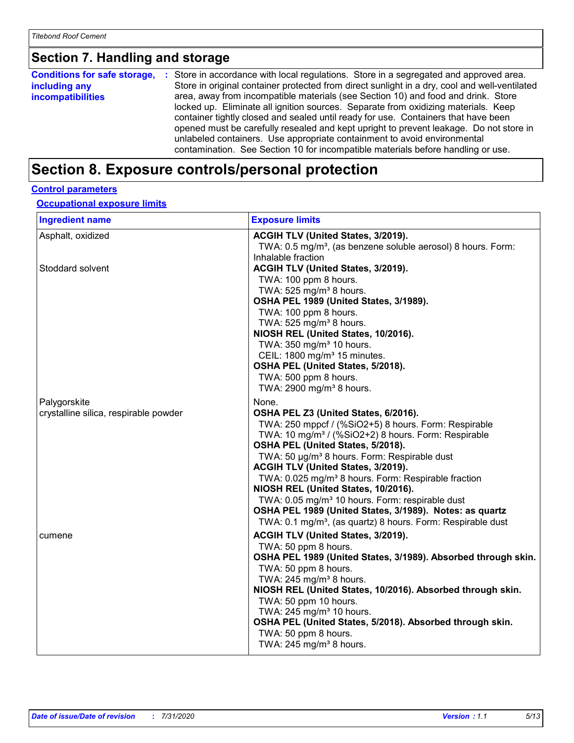# **Section 7. Handling and storage**

|                          | <b>Conditions for safe storage, :</b> Store in accordance with local regulations. Store in a segregated and approved area. |
|--------------------------|----------------------------------------------------------------------------------------------------------------------------|
| including any            | Store in original container protected from direct sunlight in a dry, cool and well-ventilated                              |
| <i>incompatibilities</i> | area, away from incompatible materials (see Section 10) and food and drink. Store                                          |
|                          | locked up. Eliminate all ignition sources. Separate from oxidizing materials. Keep                                         |
|                          | container tightly closed and sealed until ready for use. Containers that have been                                         |
|                          | opened must be carefully resealed and kept upright to prevent leakage. Do not store in                                     |
|                          | unlabeled containers. Use appropriate containment to avoid environmental                                                   |
|                          | contamination. See Section 10 for incompatible materials before handling or use.                                           |

# **Section 8. Exposure controls/personal protection**

#### **Control parameters**

**Occupational exposure limits**

| <b>Ingredient name</b>                | <b>Exposure limits</b>                                                                                                                                                                                                                                                                                                                                                                                                                                                                                                                                                                                                |
|---------------------------------------|-----------------------------------------------------------------------------------------------------------------------------------------------------------------------------------------------------------------------------------------------------------------------------------------------------------------------------------------------------------------------------------------------------------------------------------------------------------------------------------------------------------------------------------------------------------------------------------------------------------------------|
| Asphalt, oxidized                     | ACGIH TLV (United States, 3/2019).<br>TWA: 0.5 mg/m <sup>3</sup> , (as benzene soluble aerosol) 8 hours. Form:<br>Inhalable fraction                                                                                                                                                                                                                                                                                                                                                                                                                                                                                  |
| Stoddard solvent                      | ACGIH TLV (United States, 3/2019).<br>TWA: 100 ppm 8 hours.<br>TWA: 525 mg/m <sup>3</sup> 8 hours.<br>OSHA PEL 1989 (United States, 3/1989).<br>TWA: 100 ppm 8 hours.<br>TWA: 525 mg/m <sup>3</sup> 8 hours.<br>NIOSH REL (United States, 10/2016).<br>TWA: 350 mg/m <sup>3</sup> 10 hours.<br>CEIL: 1800 mg/m <sup>3</sup> 15 minutes.<br>OSHA PEL (United States, 5/2018).<br>TWA: 500 ppm 8 hours.<br>TWA: 2900 mg/m <sup>3</sup> 8 hours.                                                                                                                                                                         |
| Palygorskite                          | None.                                                                                                                                                                                                                                                                                                                                                                                                                                                                                                                                                                                                                 |
| crystalline silica, respirable powder | OSHA PEL Z3 (United States, 6/2016).<br>TWA: 250 mppcf / (%SiO2+5) 8 hours. Form: Respirable<br>TWA: 10 mg/m <sup>3</sup> / (%SiO2+2) 8 hours. Form: Respirable<br>OSHA PEL (United States, 5/2018).<br>TWA: 50 µg/m <sup>3</sup> 8 hours. Form: Respirable dust<br>ACGIH TLV (United States, 3/2019).<br>TWA: 0.025 mg/m <sup>3</sup> 8 hours. Form: Respirable fraction<br>NIOSH REL (United States, 10/2016).<br>TWA: 0.05 mg/m <sup>3</sup> 10 hours. Form: respirable dust<br>OSHA PEL 1989 (United States, 3/1989). Notes: as quartz<br>TWA: 0.1 mg/m <sup>3</sup> , (as quartz) 8 hours. Form: Respirable dust |
| cumene                                | ACGIH TLV (United States, 3/2019).<br>TWA: 50 ppm 8 hours.<br>OSHA PEL 1989 (United States, 3/1989). Absorbed through skin.<br>TWA: 50 ppm 8 hours.<br>TWA: 245 mg/m <sup>3</sup> 8 hours.<br>NIOSH REL (United States, 10/2016). Absorbed through skin.<br>TWA: 50 ppm 10 hours.<br>TWA: 245 mg/m <sup>3</sup> 10 hours.<br>OSHA PEL (United States, 5/2018). Absorbed through skin.<br>TWA: 50 ppm 8 hours.<br>TWA: 245 mg/m <sup>3</sup> 8 hours.                                                                                                                                                                  |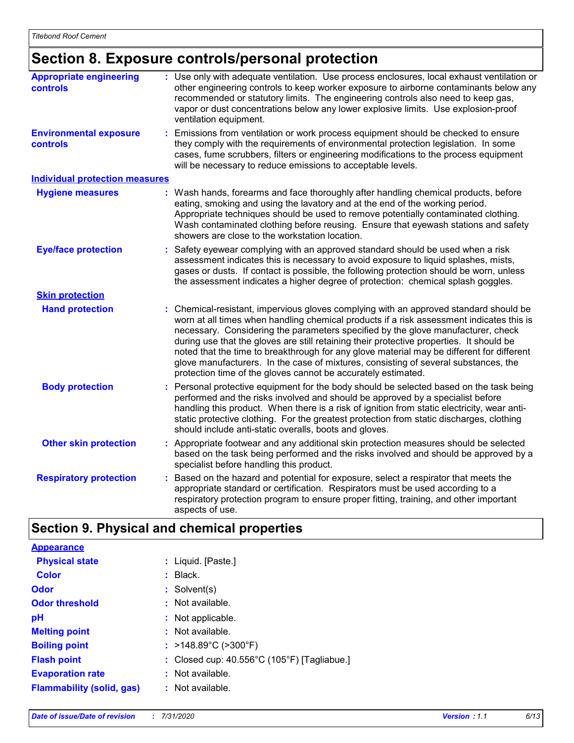# **Section 8. Exposure controls/personal protection**

| <b>Appropriate engineering</b><br>controls       |    | : Use only with adequate ventilation. Use process enclosures, local exhaust ventilation or<br>other engineering controls to keep worker exposure to airborne contaminants below any<br>recommended or statutory limits. The engineering controls also need to keep gas,<br>vapor or dust concentrations below any lower explosive limits. Use explosion-proof<br>ventilation equipment.                                                                                                                                                                                                                              |
|--------------------------------------------------|----|----------------------------------------------------------------------------------------------------------------------------------------------------------------------------------------------------------------------------------------------------------------------------------------------------------------------------------------------------------------------------------------------------------------------------------------------------------------------------------------------------------------------------------------------------------------------------------------------------------------------|
| <b>Environmental exposure</b><br><b>controls</b> | ÷. | Emissions from ventilation or work process equipment should be checked to ensure<br>they comply with the requirements of environmental protection legislation. In some<br>cases, fume scrubbers, filters or engineering modifications to the process equipment<br>will be necessary to reduce emissions to acceptable levels.                                                                                                                                                                                                                                                                                        |
| <b>Individual protection measures</b>            |    |                                                                                                                                                                                                                                                                                                                                                                                                                                                                                                                                                                                                                      |
| <b>Hygiene measures</b>                          |    | : Wash hands, forearms and face thoroughly after handling chemical products, before<br>eating, smoking and using the lavatory and at the end of the working period.<br>Appropriate techniques should be used to remove potentially contaminated clothing.<br>Wash contaminated clothing before reusing. Ensure that eyewash stations and safety<br>showers are close to the workstation location.                                                                                                                                                                                                                    |
| <b>Eye/face protection</b>                       |    | : Safety eyewear complying with an approved standard should be used when a risk<br>assessment indicates this is necessary to avoid exposure to liquid splashes, mists,<br>gases or dusts. If contact is possible, the following protection should be worn, unless<br>the assessment indicates a higher degree of protection: chemical splash goggles.                                                                                                                                                                                                                                                                |
| <b>Skin protection</b>                           |    |                                                                                                                                                                                                                                                                                                                                                                                                                                                                                                                                                                                                                      |
| <b>Hand protection</b>                           |    | Chemical-resistant, impervious gloves complying with an approved standard should be<br>worn at all times when handling chemical products if a risk assessment indicates this is<br>necessary. Considering the parameters specified by the glove manufacturer, check<br>during use that the gloves are still retaining their protective properties. It should be<br>noted that the time to breakthrough for any glove material may be different for different<br>glove manufacturers. In the case of mixtures, consisting of several substances, the<br>protection time of the gloves cannot be accurately estimated. |
| <b>Body protection</b>                           | ÷. | Personal protective equipment for the body should be selected based on the task being<br>performed and the risks involved and should be approved by a specialist before<br>handling this product. When there is a risk of ignition from static electricity, wear anti-<br>static protective clothing. For the greatest protection from static discharges, clothing<br>should include anti-static overalls, boots and gloves.                                                                                                                                                                                         |
| <b>Other skin protection</b>                     |    | : Appropriate footwear and any additional skin protection measures should be selected<br>based on the task being performed and the risks involved and should be approved by a<br>specialist before handling this product.                                                                                                                                                                                                                                                                                                                                                                                            |
| <b>Respiratory protection</b>                    |    | Based on the hazard and potential for exposure, select a respirator that meets the<br>appropriate standard or certification. Respirators must be used according to a<br>respiratory protection program to ensure proper fitting, training, and other important<br>aspects of use.                                                                                                                                                                                                                                                                                                                                    |

# **Section 9. Physical and chemical properties**

| <b>Appearance</b>                |                                                       |
|----------------------------------|-------------------------------------------------------|
| <b>Physical state</b>            | : Liquid. [Paste.]                                    |
| Color                            | $:$ Black.                                            |
| Odor                             | : Solvent(s)                                          |
| <b>Odor threshold</b>            | : Not available.                                      |
| рH                               | : Not applicable.                                     |
| <b>Melting point</b>             | : Not available.                                      |
| <b>Boiling point</b>             | : >148.89°C (>300°F)                                  |
| <b>Flash point</b>               | : Closed cup: $40.556^{\circ}$ C (105°F) [Tagliabue.] |
| <b>Evaporation rate</b>          | : Not available.                                      |
| <b>Flammability (solid, gas)</b> | $:$ Not available.                                    |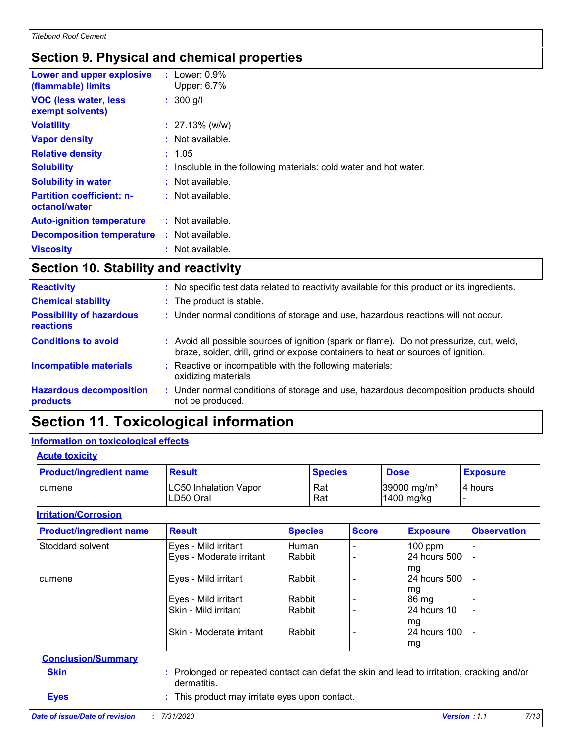# **Section 9. Physical and chemical properties**

| Lower and upper explosive<br>(flammable) limits   | : Lower: $0.9\%$<br>Upper: 6.7%                                   |
|---------------------------------------------------|-------------------------------------------------------------------|
| <b>VOC (less water, less)</b><br>exempt solvents) | $: 300$ g/l                                                       |
| <b>Volatility</b>                                 | $: 27.13\%$ (w/w)                                                 |
| <b>Vapor density</b>                              | $:$ Not available.                                                |
| <b>Relative density</b>                           | : 1.05                                                            |
| <b>Solubility</b>                                 | : Insoluble in the following materials: cold water and hot water. |
| <b>Solubility in water</b>                        | : Not available.                                                  |
| <b>Partition coefficient: n-</b><br>octanol/water | $:$ Not available.                                                |
| <b>Auto-ignition temperature</b>                  | : Not available.                                                  |
| <b>Decomposition temperature</b>                  | $:$ Not available.                                                |
| <b>Viscosity</b>                                  | : Not available.                                                  |

# **Section 10. Stability and reactivity**

| <b>Reactivity</b>                            | No specific test data related to reactivity available for this product or its ingredients.                                                                                   |
|----------------------------------------------|------------------------------------------------------------------------------------------------------------------------------------------------------------------------------|
| <b>Chemical stability</b>                    | : The product is stable.                                                                                                                                                     |
| <b>Possibility of hazardous</b><br>reactions | : Under normal conditions of storage and use, hazardous reactions will not occur.                                                                                            |
| <b>Conditions to avoid</b>                   | : Avoid all possible sources of ignition (spark or flame). Do not pressurize, cut, weld,<br>braze, solder, drill, grind or expose containers to heat or sources of ignition. |
| <b>Incompatible materials</b>                | Reactive or incompatible with the following materials:<br>oxidizing materials                                                                                                |
| <b>Hazardous decomposition</b><br>products   | : Under normal conditions of storage and use, hazardous decomposition products should<br>not be produced.                                                                    |

# **Section 11. Toxicological information**

#### **Information on toxicological effects**

| <b>Acute toxicity</b> |
|-----------------------|
|                       |

| <b>Product/ingredient name</b> | <b>Result</b>                             | <b>Species</b> | <b>Dose</b>                             | <b>Exposure</b> |
|--------------------------------|-------------------------------------------|----------------|-----------------------------------------|-----------------|
| <b>cumene</b>                  | <b>LC50 Inhalation Vapor</b><br>LD50 Oral | Rat<br>Rat     | $39000 \,\mathrm{mg/m^3}$<br>1400 mg/kg | 4 hours         |

#### **Irritation/Corrosion**

| <b>Product/ingredient name</b> | <b>Result</b>                                                                                             | <b>Species</b> | <b>Score</b> | <b>Exposure</b> | <b>Observation</b>       |  |
|--------------------------------|-----------------------------------------------------------------------------------------------------------|----------------|--------------|-----------------|--------------------------|--|
| Stoddard solvent               | Eyes - Mild irritant                                                                                      | Human          |              | $100$ ppm       |                          |  |
|                                | Eyes - Moderate irritant                                                                                  | Rabbit         |              | 24 hours 500    |                          |  |
|                                |                                                                                                           |                |              | mg              |                          |  |
| cumene                         | Eyes - Mild irritant                                                                                      | Rabbit         |              | 24 hours 500    |                          |  |
|                                |                                                                                                           |                |              | mg              |                          |  |
|                                | Eyes - Mild irritant                                                                                      | Rabbit         |              | 86 mg           |                          |  |
|                                | Skin - Mild irritant                                                                                      | Rabbit         |              | 24 hours 10     |                          |  |
|                                |                                                                                                           |                |              | mg              |                          |  |
|                                | Skin - Moderate irritant                                                                                  | Rabbit         |              | 24 hours 100    | $\overline{\phantom{a}}$ |  |
|                                |                                                                                                           |                |              | mg              |                          |  |
| <b>Conclusion/Summary</b>      |                                                                                                           |                |              |                 |                          |  |
| <b>Skin</b>                    | : Prolonged or repeated contact can defat the skin and lead to irritation, cracking and/or<br>dermatitis. |                |              |                 |                          |  |
| <b>Eyes</b>                    | : This product may irritate eyes upon contact.                                                            |                |              |                 |                          |  |

#### *Date of issue/Date of revision* **:** *7/31/2020 Version : 1.1 7/13*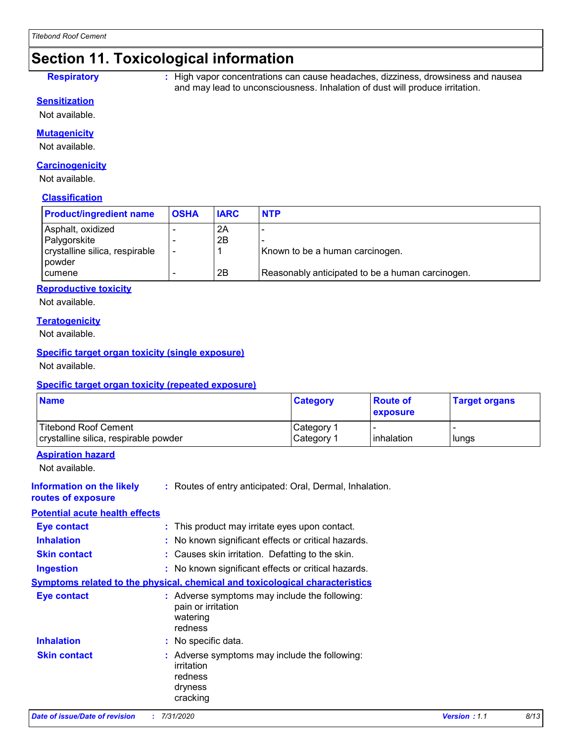# **Section 11. Toxicological information**

**Respiratory :** High vapor concentrations can cause headaches, dizziness, drowsiness and nausea and may lead to unconsciousness. Inhalation of dust will produce irritation.

#### **Sensitization**

Not available.

#### **Mutagenicity**

Not available.

#### **Carcinogenicity**

Not available.

#### **Classification**

| <b>Product/ingredient name</b> | <b>OSHA</b> | <b>IARC</b> | <b>NTP</b>                                       |
|--------------------------------|-------------|-------------|--------------------------------------------------|
| Asphalt, oxidized              |             | 2A          |                                                  |
| Palygorskite                   |             | 2B          |                                                  |
| crystalline silica, respirable |             |             | Known to be a human carcinogen.                  |
| l powder                       |             |             |                                                  |
| <b>cumene</b>                  |             | 2B          | Reasonably anticipated to be a human carcinogen. |

#### **Reproductive toxicity**

Not available.

#### **Teratogenicity**

Not available.

#### **Specific target organ toxicity (single exposure)**

Not available.

#### **Specific target organ toxicity (repeated exposure)**

| <b>Name</b>                                                   | <b>Category</b>          | <b>Route of</b><br>exposure | <b>Target organs</b> |
|---------------------------------------------------------------|--------------------------|-----------------------------|----------------------|
| Titebond Roof Cement<br>crystalline silica, respirable powder | Category<br>  Category 1 | l inhalation                | lungs                |

#### **Aspiration hazard**

Not available.

| <b>Date of issue/Date of revision</b>                  | : 7/31/2020                                                                                   | Version: 1.1 | 8/13 |
|--------------------------------------------------------|-----------------------------------------------------------------------------------------------|--------------|------|
| <b>Skin contact</b>                                    | : Adverse symptoms may include the following:<br>irritation<br>redness<br>dryness<br>cracking |              |      |
| <b>Inhalation</b>                                      | : No specific data.                                                                           |              |      |
| Eye contact                                            | : Adverse symptoms may include the following:<br>pain or irritation<br>watering<br>redness    |              |      |
|                                                        | <b>Symptoms related to the physical, chemical and toxicological characteristics</b>           |              |      |
| <b>Ingestion</b>                                       | : No known significant effects or critical hazards.                                           |              |      |
| <b>Skin contact</b>                                    | : Causes skin irritation. Defatting to the skin.                                              |              |      |
| <b>Inhalation</b>                                      | : No known significant effects or critical hazards.                                           |              |      |
| Eye contact                                            | : This product may irritate eyes upon contact.                                                |              |      |
| <b>Potential acute health effects</b>                  |                                                                                               |              |      |
| <b>Information on the likely</b><br>routes of exposure | : Routes of entry anticipated: Oral, Dermal, Inhalation.                                      |              |      |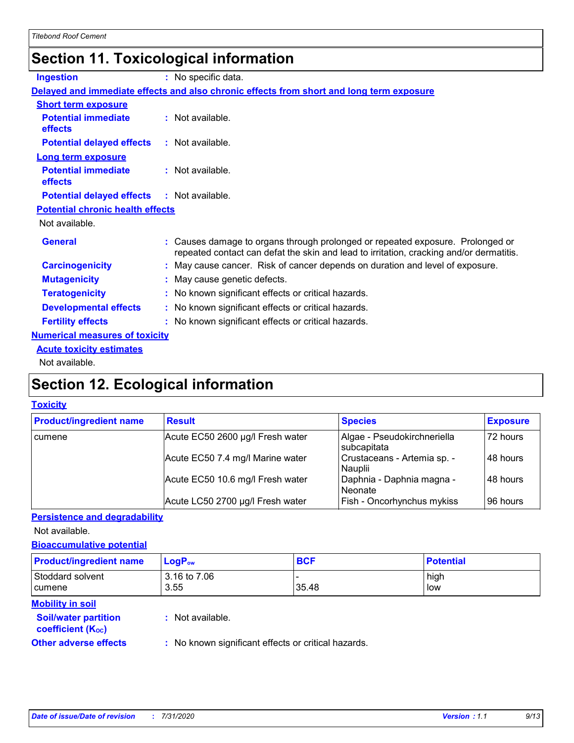# **Section 11. Toxicological information**

| <b>Ingestion</b>                        | : No specific data.                                                                                                                                                       |
|-----------------------------------------|---------------------------------------------------------------------------------------------------------------------------------------------------------------------------|
|                                         | Delayed and immediate effects and also chronic effects from short and long term exposure                                                                                  |
| <b>Short term exposure</b>              |                                                                                                                                                                           |
| <b>Potential immediate</b><br>effects   | $:$ Not available.                                                                                                                                                        |
| <b>Potential delayed effects</b>        | : Not available.                                                                                                                                                          |
| <b>Long term exposure</b>               |                                                                                                                                                                           |
| <b>Potential immediate</b><br>effects   | $:$ Not available.                                                                                                                                                        |
| <b>Potential delayed effects</b>        | : Not available.                                                                                                                                                          |
| <b>Potential chronic health effects</b> |                                                                                                                                                                           |
| Not available.                          |                                                                                                                                                                           |
| <b>General</b>                          | : Causes damage to organs through prolonged or repeated exposure. Prolonged or<br>repeated contact can defat the skin and lead to irritation, cracking and/or dermatitis. |
| <b>Carcinogenicity</b>                  | : May cause cancer. Risk of cancer depends on duration and level of exposure.                                                                                             |
| <b>Mutagenicity</b>                     | : May cause genetic defects.                                                                                                                                              |
| <b>Teratogenicity</b>                   | : No known significant effects or critical hazards.                                                                                                                       |
| <b>Developmental effects</b>            | : No known significant effects or critical hazards.                                                                                                                       |
| <b>Fertility effects</b>                | : No known significant effects or critical hazards.                                                                                                                       |
| <b>Numerical measures of toxicity</b>   |                                                                                                                                                                           |
| <b>Acute toxicity estimates</b>         |                                                                                                                                                                           |
| والمادانون والملك                       |                                                                                                                                                                           |

Not available.

# **Section 12. Ecological information**

#### **Toxicity**

| <b>Product/ingredient name</b> | <b>Result</b>                    | <b>Species</b>                             | <b>Exposure</b> |
|--------------------------------|----------------------------------|--------------------------------------------|-----------------|
| cumene                         | Acute EC50 2600 µg/l Fresh water | Algae - Pseudokirchneriella<br>subcapitata | 72 hours        |
|                                | Acute EC50 7.4 mg/l Marine water | Crustaceans - Artemia sp. -<br>Nauplii     | 48 hours        |
|                                | Acute EC50 10.6 mg/l Fresh water | Daphnia - Daphnia magna -<br>Neonate       | 48 hours        |
|                                | Acute LC50 2700 µg/l Fresh water | Fish - Oncorhynchus mykiss                 | 96 hours        |

#### **Persistence and degradability**

Not available.

#### **Bioaccumulative potential**

| <b>Product/ingredient name</b>                          | $LogP_{ow}$          | <b>BCF</b> | <b>Potential</b> |
|---------------------------------------------------------|----------------------|------------|------------------|
| Stoddard solvent<br>cumene                              | 3.16 to 7.06<br>3.55 | 35.48      | high<br>low      |
| <b>Mobility in soil</b>                                 |                      |            |                  |
| <b>Soil/water partition</b><br><b>coefficient (Koc)</b> | : Not available.     |            |                  |

**Other adverse effects** : No known significant effects or critical hazards.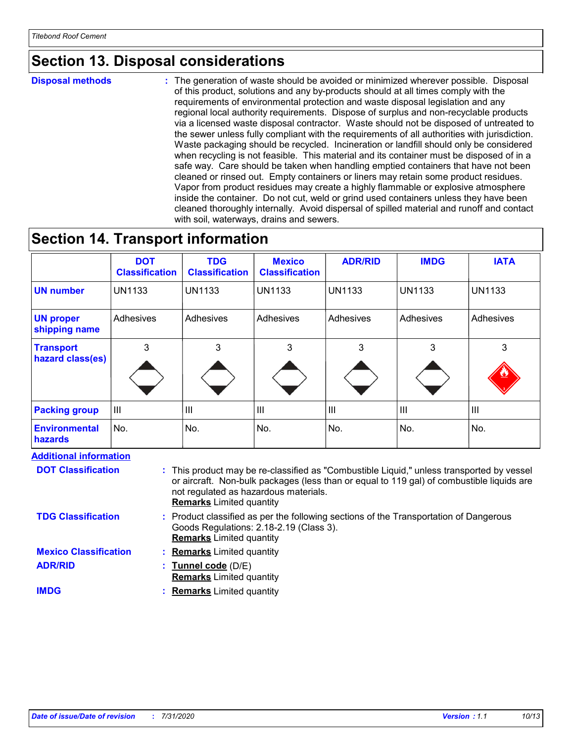# **Section 13. Disposal considerations**

**Disposal methods :**

The generation of waste should be avoided or minimized wherever possible. Disposal of this product, solutions and any by-products should at all times comply with the requirements of environmental protection and waste disposal legislation and any regional local authority requirements. Dispose of surplus and non-recyclable products via a licensed waste disposal contractor. Waste should not be disposed of untreated to the sewer unless fully compliant with the requirements of all authorities with jurisdiction. Waste packaging should be recycled. Incineration or landfill should only be considered when recycling is not feasible. This material and its container must be disposed of in a safe way. Care should be taken when handling emptied containers that have not been cleaned or rinsed out. Empty containers or liners may retain some product residues. Vapor from product residues may create a highly flammable or explosive atmosphere inside the container. Do not cut, weld or grind used containers unless they have been cleaned thoroughly internally. Avoid dispersal of spilled material and runoff and contact with soil, waterways, drains and sewers.

### **Section 14. Transport information**

|                                      | <b>DOT</b><br><b>Classification</b> | <b>TDG</b><br><b>Classification</b> | <b>Mexico</b><br><b>Classification</b> | <b>ADR/RID</b> | <b>IMDG</b>    | <b>IATA</b>   |
|--------------------------------------|-------------------------------------|-------------------------------------|----------------------------------------|----------------|----------------|---------------|
| <b>UN number</b>                     | <b>UN1133</b>                       | <b>UN1133</b>                       | <b>UN1133</b>                          | <b>UN1133</b>  | UN1133         | <b>UN1133</b> |
| <b>UN proper</b><br>shipping name    | Adhesives                           | Adhesives                           | Adhesives                              | Adhesives      | Adhesives      | Adhesives     |
| <b>Transport</b><br>hazard class(es) | 3                                   | 3                                   | 3                                      | 3              | 3              | 3<br><u>w</u> |
| <b>Packing group</b>                 | $\mathbf{  }$                       | Ш                                   | $\mathbf{III}$                         | $\mathsf{III}$ | $\mathsf{III}$ | III           |
| <b>Environmental</b><br>hazards      | No.                                 | No.                                 | No.                                    | No.            | No.            | No.           |

#### **Additional information**

| <b>DOT Classification</b>    | : This product may be re-classified as "Combustible Liquid," unless transported by vessel<br>or aircraft. Non-bulk packages (less than or equal to 119 gal) of combustible liquids are<br>not regulated as hazardous materials.<br><b>Remarks</b> Limited quantity |
|------------------------------|--------------------------------------------------------------------------------------------------------------------------------------------------------------------------------------------------------------------------------------------------------------------|
| <b>TDG Classification</b>    | : Product classified as per the following sections of the Transportation of Dangerous<br>Goods Regulations: 2.18-2.19 (Class 3).<br><b>Remarks</b> Limited quantity                                                                                                |
| <b>Mexico Classification</b> | <b>Remarks</b> Limited quantity                                                                                                                                                                                                                                    |
| <b>ADR/RID</b>               | : Tunnel code (D/E)                                                                                                                                                                                                                                                |
|                              | <b>Remarks</b> Limited quantity                                                                                                                                                                                                                                    |
| <b>IMDG</b>                  | <b>Remarks</b> Limited quantity                                                                                                                                                                                                                                    |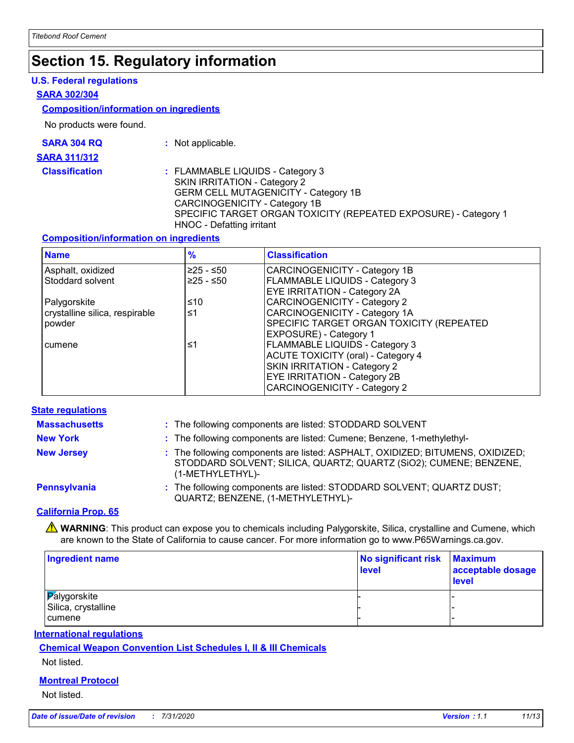# **Section 15. Regulatory information**

#### **U.S. Federal regulations**

#### **SARA 302/304**

#### **Composition/information on ingredients**

No products were found.

| <b>SARA 304 RQ</b> |  |
|--------------------|--|
|                    |  |

- **:** Not applicable.
- **SARA 311/312**
	-

**Classification :** FLAMMABLE LIQUIDS - Category 3 SKIN IRRITATION - Category 2 GERM CELL MUTAGENICITY - Category 1B CARCINOGENICITY - Category 1B SPECIFIC TARGET ORGAN TOXICITY (REPEATED EXPOSURE) - Category 1 HNOC - Defatting irritant

#### **Composition/information on ingredients**

| <b>Name</b>                    | $\frac{9}{6}$ | <b>Classification</b>                     |
|--------------------------------|---------------|-------------------------------------------|
| Asphalt, oxidized              | $≥25 - ≤50$   | CARCINOGENICITY - Category 1B             |
| Stoddard solvent               | $≥25 - ≤50$   | <b>FLAMMABLE LIQUIDS - Category 3</b>     |
|                                |               | <b>EYE IRRITATION - Category 2A</b>       |
| Palygorskite                   | ≤10           | CARCINOGENICITY - Category 2              |
| crystalline silica, respirable | ≤1            | CARCINOGENICITY - Category 1A             |
| powder                         |               | SPECIFIC TARGET ORGAN TOXICITY (REPEATED  |
|                                |               | <b>EXPOSURE</b> ) - Category 1            |
| cumene                         | ≤1            | <b>FLAMMABLE LIQUIDS - Category 3</b>     |
|                                |               | <b>ACUTE TOXICITY (oral) - Category 4</b> |
|                                |               | SKIN IRRITATION - Category 2              |
|                                |               | <b>EYE IRRITATION - Category 2B</b>       |
|                                |               | CARCINOGENICITY - Category 2              |

#### **State regulations**

| <b>Massachusetts</b> | : The following components are listed: STODDARD SOLVENT                                                                                                                |
|----------------------|------------------------------------------------------------------------------------------------------------------------------------------------------------------------|
| <b>New York</b>      | : The following components are listed: Cumene; Benzene, 1-methylethyl-                                                                                                 |
| <b>New Jersey</b>    | : The following components are listed: ASPHALT, OXIDIZED; BITUMENS, OXIDIZED;<br>STODDARD SOLVENT; SILICA, QUARTZ; QUARTZ (SiO2); CUMENE; BENZENE,<br>(1-METHYLETHYL)- |
| Pennsylvania         | : The following components are listed: STODDARD SOLVENT; QUARTZ DUST;<br>QUARTZ; BENZENE, (1-METHYLETHYL)-                                                             |
|                      |                                                                                                                                                                        |

#### **California Prop. 65**

WARNING: This product can expose you to chemicals including Palygorskite, Silica, crystalline and Cumene, which are known to the State of California to cause cancer. For more information go to www.P65Warnings.ca.gov.

| Ingredient name                                      | No significant risk<br>level | <b>Maximum</b><br>acceptable dosage<br><b>level</b> |
|------------------------------------------------------|------------------------------|-----------------------------------------------------|
| <b>Palygorskite</b><br>Silica, crystalline<br>cumene |                              |                                                     |

#### **International regulations**

**Chemical Weapon Convention List Schedules I, II & III Chemicals**

#### Not listed.

#### **Montreal Protocol**

Not listed.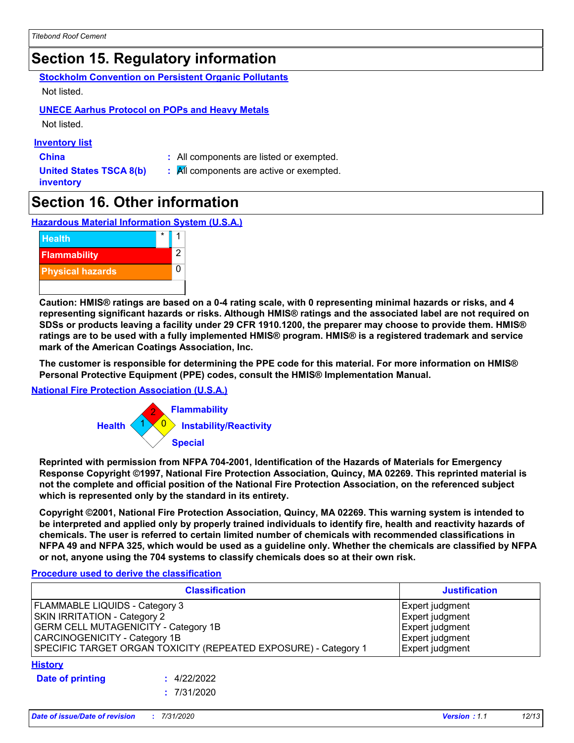# **Section 15. Regulatory information**

**Stockholm Convention on Persistent Organic Pollutants** Not listed.

### **UNECE Aarhus Protocol on POPs and Heavy Metals**

Not listed.

#### **Inventory list**

- 
- **China :** All components are listed or exempted.
- **United States TSCA 8(b) inventory**
- **:** All components are active or exempted.

# **Section 16. Other information**

**Hazardous Material Information System (U.S.A.)**



**Caution: HMIS® ratings are based on a 0-4 rating scale, with 0 representing minimal hazards or risks, and 4 representing significant hazards or risks. Although HMIS® ratings and the associated label are not required on SDSs or products leaving a facility under 29 CFR 1910.1200, the preparer may choose to provide them. HMIS® ratings are to be used with a fully implemented HMIS® program. HMIS® is a registered trademark and service mark of the American Coatings Association, Inc.**

**The customer is responsible for determining the PPE code for this material. For more information on HMIS® Personal Protective Equipment (PPE) codes, consult the HMIS® Implementation Manual.**

#### **National Fire Protection Association (U.S.A.)**



**Reprinted with permission from NFPA 704-2001, Identification of the Hazards of Materials for Emergency Response Copyright ©1997, National Fire Protection Association, Quincy, MA 02269. This reprinted material is not the complete and official position of the National Fire Protection Association, on the referenced subject which is represented only by the standard in its entirety.**

**Copyright ©2001, National Fire Protection Association, Quincy, MA 02269. This warning system is intended to be interpreted and applied only by properly trained individuals to identify fire, health and reactivity hazards of chemicals. The user is referred to certain limited number of chemicals with recommended classifications in NFPA 49 and NFPA 325, which would be used as a guideline only. Whether the chemicals are classified by NFPA or not, anyone using the 704 systems to classify chemicals does so at their own risk.**

#### **Procedure used to derive the classification**

| <b>Classification</b>                                                                                                                                                                                             |                            | <b>Justification</b>                                                                        |
|-------------------------------------------------------------------------------------------------------------------------------------------------------------------------------------------------------------------|----------------------------|---------------------------------------------------------------------------------------------|
| FLAMMABLE LIQUIDS - Category 3<br>SKIN IRRITATION - Category 2<br><b>GERM CELL MUTAGENICITY - Category 1B</b><br>CARCINOGENICITY - Category 1B<br>SPECIFIC TARGET ORGAN TOXICITY (REPEATED EXPOSURE) - Category 1 |                            | Expert judgment<br>Expert judgment<br>Expert judgment<br>Expert judgment<br>Expert judgment |
| <b>History</b><br>Date of printing                                                                                                                                                                                | : 4/22/2022<br>: 7/31/2020 |                                                                                             |